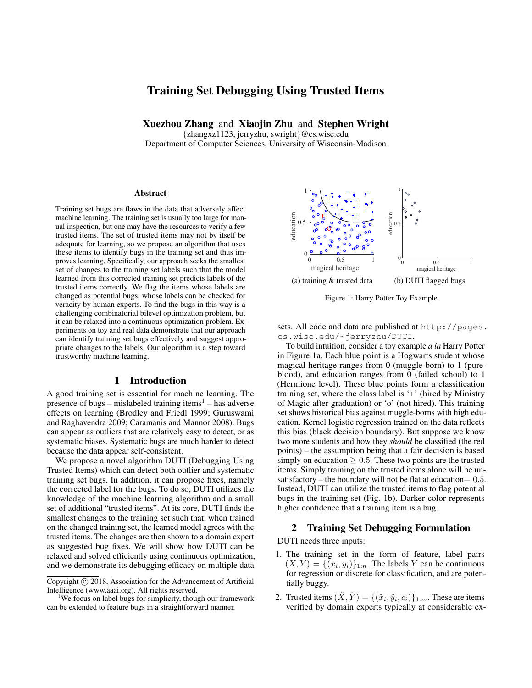# Training Set Debugging Using Trusted Items

Xuezhou Zhang and Xiaojin Zhu and Stephen Wright

{zhangxz1123, jerryzhu, swright}@cs.wisc.edu Department of Computer Sciences, University of Wisconsin-Madison

#### Abstract

Training set bugs are flaws in the data that adversely affect machine learning. The training set is usually too large for manual inspection, but one may have the resources to verify a few trusted items. The set of trusted items may not by itself be adequate for learning, so we propose an algorithm that uses these items to identify bugs in the training set and thus improves learning. Specifically, our approach seeks the smallest set of changes to the training set labels such that the model learned from this corrected training set predicts labels of the trusted items correctly. We flag the items whose labels are changed as potential bugs, whose labels can be checked for veracity by human experts. To find the bugs in this way is a challenging combinatorial bilevel optimization problem, but it can be relaxed into a continuous optimization problem. Experiments on toy and real data demonstrate that our approach can identify training set bugs effectively and suggest appropriate changes to the labels. Our algorithm is a step toward trustworthy machine learning.

### 1 Introduction

A good training set is essential for machine learning. The presence of bugs – mislabeled training items<sup>1</sup> – has adverse effects on learning (Brodley and Friedl 1999; Guruswami and Raghavendra 2009; Caramanis and Mannor 2008). Bugs can appear as outliers that are relatively easy to detect, or as systematic biases. Systematic bugs are much harder to detect because the data appear self-consistent.

We propose a novel algorithm DUTI (Debugging Using Trusted Items) which can detect both outlier and systematic training set bugs. In addition, it can propose fixes, namely the corrected label for the bugs. To do so, DUTI utilizes the knowledge of the machine learning algorithm and a small set of additional "trusted items". At its core, DUTI finds the smallest changes to the training set such that, when trained on the changed training set, the learned model agrees with the trusted items. The changes are then shown to a domain expert as suggested bug fixes. We will show how DUTI can be relaxed and solved efficiently using continuous optimization, and we demonstrate its debugging efficacy on multiple data



Figure 1: Harry Potter Toy Example

sets. All code and data are published at http://pages. cs.wisc.edu/~jerryzhu/DUTI.

To build intuition, consider a toy example *a la* Harry Potter in Figure 1a. Each blue point is a Hogwarts student whose magical heritage ranges from 0 (muggle-born) to 1 (pureblood), and education ranges from 0 (failed school) to 1 (Hermione level). These blue points form a classification training set, where the class label is '+' (hired by Ministry of Magic after graduation) or 'o' (not hired). This training set shows historical bias against muggle-borns with high education. Kernel logistic regression trained on the data reflects this bias (black decision boundary). But suppose we know two more students and how they *should* be classified (the red points) – the assumption being that a fair decision is based simply on education  $> 0.5$ . These two points are the trusted items. Simply training on the trusted items alone will be unsatisfactory – the boundary will not be flat at education  $= 0.5$ . Instead, DUTI can utilize the trusted items to flag potential bugs in the training set (Fig. 1b). Darker color represents higher confidence that a training item is a bug.

## 2 Training Set Debugging Formulation

DUTI needs three inputs:

- 1. The training set in the form of feature, label pairs  $(X,Y) = \{(x_i,y_i)\}_{1:n}$ . The labels Y can be continuous for regression or discrete for classification, and are potentially buggy.
- 2. Trusted items  $(\tilde{X}, \tilde{Y}) = \{(\tilde{x}_i, \tilde{y}_i, c_i)\}_{1:m}$ . These are items verified by domain experts typically at considerable ex-

Copyright (c) 2018, Association for the Advancement of Artificial Intelligence (www.aaai.org). All rights reserved.

<sup>&</sup>lt;sup>1</sup>We focus on label bugs for simplicity, though our framework can be extended to feature bugs in a straightforward manner.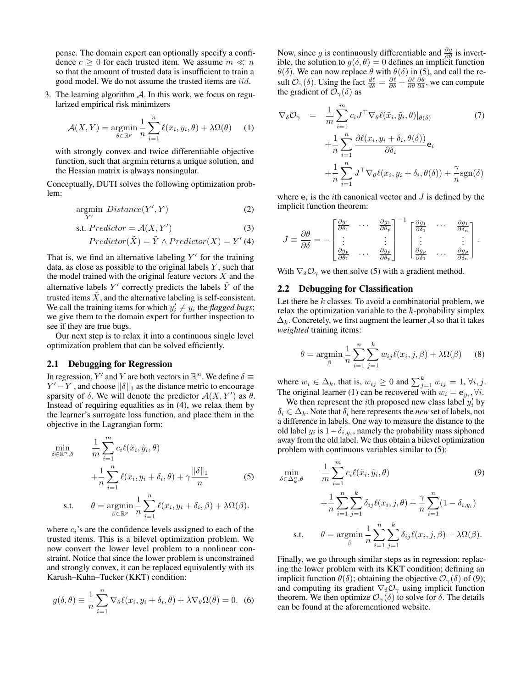pense. The domain expert can optionally specify a confidence  $c \geq 0$  for each trusted item. We assume  $m \ll n$ so that the amount of trusted data is insufficient to train a good model. We do not assume the trusted items are iid.

3. The learning algorithm  $A$ . In this work, we focus on regularized empirical risk minimizers

$$
\mathcal{A}(X,Y) = \underset{\theta \in \mathbb{R}^p}{\operatorname{argmin}} \frac{1}{n} \sum_{i=1}^n \ell(x_i, y_i, \theta) + \lambda \Omega(\theta) \tag{1}
$$

with strongly convex and twice differentiable objective function, such that argmin returns a unique solution, and the Hessian matrix is always nonsingular.

Conceptually, DUTI solves the following optimization problem:

$$
\underset{Y'}{\text{argmin}}\;Distance(Y',Y) \tag{2}
$$

$$
s.t. \, Predictor = \mathcal{A}(X, Y') \tag{3}
$$

$$
Predictor(\tilde{X}) = \tilde{Y} \wedge Predictor(X) = Y'(4)
$$

That is, we find an alternative labeling  $Y'$  for the training data, as close as possible to the original labels  $Y$ , such that the model trained with the original feature vectors  $X$  and the alternative labels  $Y'$  correctly predicts the labels  $\tilde{Y}$  of the trusted items  $\tilde{X}$ , and the alternative labeling is self-consistent. We call the training items for which  $y'_i \neq y_i$  the *flagged bugs*; we give them to the domain expert for further inspection to see if they are true bugs.

Our next step is to relax it into a continuous single level optimization problem that can be solved efficiently.

## 2.1 Debugging for Regression

In regression, Y' and Y are both vectors in  $\mathbb{R}^n$ . We define  $\delta \equiv$  $Y' - Y$ , and choose  $\|\delta\|_1$  as the distance metric to encourage sparsity of  $\delta$ . We will denote the predictor  $\mathcal{A}(X, Y')$  as  $\theta$ . Instead of requiring equalities as in (4), we relax them by the learner's surrogate loss function, and place them in the objective in the Lagrangian form:

$$
\min_{\delta \in \mathbb{R}^n, \theta} \qquad \frac{1}{m} \sum_{i=1}^m c_i \ell(\tilde{x}_i, \tilde{y}_i, \theta) \n+ \frac{1}{n} \sum_{i=1}^n \ell(x_i, y_i + \delta_i, \theta) + \gamma \frac{\|\delta\|_1}{n}
$$
\n(5)

s.t. 
$$
\theta = \underset{\beta \in \mathbb{R}^p}{\text{argmin}} \frac{1}{n} \sum_{i=1}^n \ell(x_i, y_i + \delta_i, \beta) + \lambda \Omega(\beta).
$$

where  $c_i$ 's are the confidence levels assigned to each of the trusted items. This is a bilevel optimization problem. We now convert the lower level problem to a nonlinear constraint. Notice that since the lower problem is unconstrained and strongly convex, it can be replaced equivalently with its Karush–Kuhn–Tucker (KKT) condition:

$$
g(\delta, \theta) \equiv \frac{1}{n} \sum_{i=1}^{n} \nabla_{\theta} \ell(x_i, y_i + \delta_i, \theta) + \lambda \nabla_{\theta} \Omega(\theta) = 0.
$$
 (6)

Now, since g is continuously differentiable and  $\frac{\partial g}{\partial \theta}$  is invertible, the solution to  $g(\delta, \theta) = 0$  defines an implicit function  $\theta(\delta)$ . We can now replace  $\theta$  with  $\theta(\delta)$  in (5), and call the result  $\mathcal{O}_{\gamma}(\delta)$ . Using the fact  $\frac{d\ell}{d\delta} = \frac{\partial \ell}{\partial \delta} + \frac{\partial \ell}{\partial \theta} \frac{\partial \theta}{\partial \delta}$ , we can compute the gradient of  $\mathcal{O}_{\gamma}(\delta)$  as

$$
\nabla_{\delta} \mathcal{O}_{\gamma} = \frac{1}{m} \sum_{i=1}^{m} c_{i} J^{\top} \nabla_{\theta} \ell(\tilde{x}_{i}, \tilde{y}_{i}, \theta) |_{\theta(\delta)} \qquad (7)
$$

$$
+ \frac{1}{n} \sum_{i=1}^{n} \frac{\partial \ell(x_{i}, y_{i} + \delta_{i}, \theta(\delta))}{\partial \delta_{i}} \mathbf{e}_{i}
$$

$$
+ \frac{1}{n} \sum_{i=1}^{n} J^{\top} \nabla_{\theta} \ell(x_{i}, y_{i} + \delta_{i}, \theta(\delta)) + \frac{\gamma}{n} \text{sgn}(\delta)
$$

where  $e_i$  is the *i*th canonical vector and  $J$  is defined by the implicit function theorem:

$$
J \equiv \frac{\partial \theta}{\partial \delta} = - \begin{bmatrix} \frac{\partial g_1}{\partial \theta_1} & \cdots & \frac{\partial g_1}{\partial \theta_p} \\ \vdots & & \vdots \\ \frac{\partial g_p}{\partial \theta_1} & \cdots & \frac{\partial g_p}{\partial \theta_p} \end{bmatrix}^{-1} \begin{bmatrix} \frac{\partial g_1}{\partial \delta_1} & \cdots & \frac{\partial g_1}{\partial \delta_n} \\ \vdots & & \vdots \\ \frac{\partial g_p}{\partial \delta_1} & \cdots & \frac{\partial g_p}{\partial \delta_n} \end{bmatrix}.
$$

With  $\nabla_{\delta} \mathcal{O}_{\gamma}$  we then solve (5) with a gradient method.

### 2.2 Debugging for Classification

Let there be  $k$  classes. To avoid a combinatorial problem, we relax the optimization variable to the  $k$ -probability simplex  $\Delta_k$ . Concretely, we first augment the learner A so that it takes *weighted* training items:

$$
\theta = \underset{\beta}{\text{argmin}} \frac{1}{n} \sum_{i=1}^{n} \sum_{j=1}^{k} w_{ij} \ell(x_i, j, \beta) + \lambda \Omega(\beta) \tag{8}
$$

where  $w_i \in \Delta_k$ , that is,  $w_{ij} \ge 0$  and  $\sum_{j=1}^k w_{ij} = 1$ ,  $\forall i, j$ . The original learner (1) can be recovered with  $w_i = \mathbf{e}_{y_i}, \forall i$ .

We then represent the *i*th proposed new class label  $y_i$  by  $\delta_i \in \Delta_k$ . Note that  $\delta_i$  here represents the *new* set of labels, not a difference in labels. One way to measure the distance to the old label  $y_i$  is  $1 - \delta_{i, y_i}$ , namely the probability mass siphoned away from the old label. We thus obtain a bilevel optimization problem with continuous variables similar to (5):

$$
\min_{\delta \in \Delta_k^n, \theta} \qquad \frac{1}{m} \sum_{i=1}^m c_i \ell(\tilde{x}_i, \tilde{y}_i, \theta) \tag{9}
$$
\n
$$
+ \frac{1}{n} \sum_{i=1}^n \sum_{j=1}^k \delta_{ij} \ell(x_i, j, \theta) + \frac{\gamma}{n} \sum_{i=1}^n (1 - \delta_{i, y_i})
$$
\ns.t. 
$$
\theta = \operatorname*{argmin}_{\beta} \frac{1}{n} \sum_{i=1}^n \sum_{j=1}^k \delta_{ij} \ell(x_i, j, \beta) + \lambda \Omega(\beta).
$$

Finally, we go through similar steps as in regression: replacing the lower problem with its KKT condition; defining an implicit function  $\theta(\delta)$ ; obtaining the objective  $\mathcal{O}_{\gamma}(\delta)$  of (9); and computing its gradient  $\nabla_{\delta} \mathcal{O}_{\gamma}$  using implicit function theorem. We then optimize  $\mathcal{O}_{\gamma}(\delta)$  to solve for  $\delta$ . The details can be found at the aforementioned website.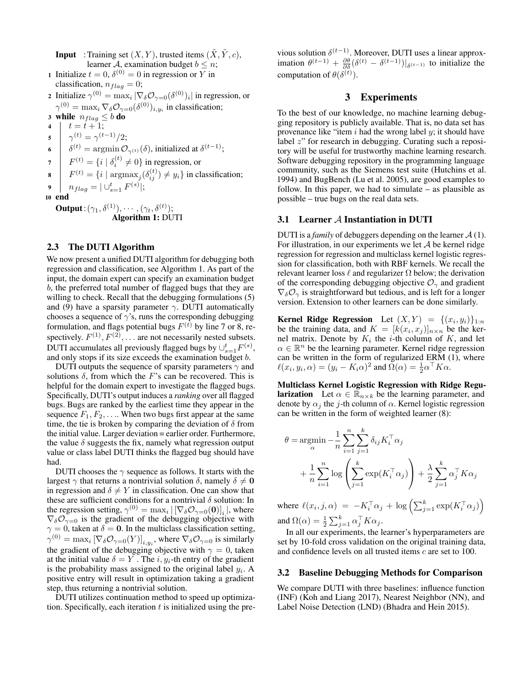**Input** : Training set  $(X, Y)$ , trusted items  $(\tilde{X}, \tilde{Y}, c)$ , learner A, examination budget  $b \leq n$ ;

- 1 Initialize  $t = 0$ ,  $\delta^{(0)} = 0$  in regression or Y in classification,  $n_{flag} = 0$ ;
- 2 Initialize  $\gamma^{(0)} = \max_i |\nabla_{\delta} \mathcal{O}_{\gamma=0}(\delta^{(0)})_i|$  in regression, or  $\gamma^{(0)} = \max_i \nabla_{\delta} \mathcal{O}_{\gamma=0}(\delta^{(0)})_{i,y_i}$  in classification;

3 while  $n_{flag} \leq b$  do 4  $t = t + 1;$ 5  $\gamma^{(t)} = \gamma^{(t-1)}/2;$ 

- 6  $\delta^{(t)} = \operatorname{argmin} \mathcal{O}_{\gamma^{(t)}}(\delta)$ , initialized at  $\delta^{(t-1)}$ ;
- $\tau \mid F^{(t)} = \{i \mid \delta_i^{(t)} \neq 0\}$  in regression, or
- 8  $F^{(t)} = \{i \mid \text{argmax}_j(\delta_{ij}^{(t)}) \neq y_i\}$  in classification;

$$
\bullet \quad | \quad n_{flag} = |\cup_{s=1}^t F^{(s)}|;
$$

10 end

**Output**:  $(\gamma_1, \delta^{(1)}), \cdots, (\gamma_t, \delta^{(t)});$ Algorithm 1: DUTI

## 2.3 The DUTI Algorithm

We now present a unified DUTI algorithm for debugging both regression and classification, see Algorithm 1. As part of the input, the domain expert can specify an examination budget b, the preferred total number of flagged bugs that they are willing to check. Recall that the debugging formulations (5) and (9) have a sparsity parameter  $\gamma$ . DUTI automatically chooses a sequence of  $\gamma$ 's, runs the corresponding debugging formulation, and flags potential bugs  $F<sup>(t)</sup>$  by line 7 or 8, respectively.  $F^{(1)}, F^{(2)}, \ldots$  are not necessarily nested subsets. DUTI accumulates all previously flagged bugs by  $\cup_{s=1}^t F^{(s)}$ , and only stops if its size exceeds the examination budget b.

DUTI outputs the sequence of sparsity parameters  $\gamma$  and solutions  $\delta$ , from which the F's can be recovered. This is helpful for the domain expert to investigate the flagged bugs. Specifically, DUTI's output induces a *ranking* over all flagged bugs. Bugs are ranked by the earliest time they appear in the sequence  $F_1, F_2, \ldots$  When two bugs first appear at the same time, the tie is broken by comparing the deviation of  $\delta$  from the initial value. Larger deviation = earlier order. Furthermore, the value  $\delta$  suggests the fix, namely what regression output value or class label DUTI thinks the flagged bug should have had.

DUTI chooses the  $\gamma$  sequence as follows. It starts with the largest  $\gamma$  that returns a nontrivial solution  $\delta$ , namely  $\delta \neq 0$ in regression and  $\delta \neq Y$  in classification. One can show that these are sufficient conditions for a nontrivial  $\delta$  solution: In the regression setting,  $\gamma^{(0)} = \max_i | [\nabla_\delta \mathcal{O}_{\gamma=0}(0)]_i |$ , where  $\nabla_{\delta} \mathcal{O}_{\gamma=0}$  is the gradient of the debugging objective with  $\gamma = 0$ , taken at  $\delta = 0$ . In the multiclass classification setting,  $\gamma^{(0)}=\max_i \left[\nabla_\delta \mathcal{O}_{\gamma=0}(Y)\right]_{i,y_i},$  where  $\nabla_\delta \mathcal{O}_{\gamma=0}$  is similarly the gradient of the debugging objective with  $\gamma = 0$ , taken at the initial value  $\delta = Y$ . The i,  $y_i$ -th entry of the gradient is the probability mass assigned to the original label  $y_i$ . A positive entry will result in optimization taking a gradient step, thus returning a nontrivial solution.

DUTI utilizes continuation method to speed up optimization. Specifically, each iteration  $t$  is initialized using the previous solution  $\delta^{(t-1)}$ . Moreover, DUTI uses a linear approximation  $\theta^{(t-1)} + \frac{\partial \theta}{\partial \delta} (\delta^{(t)} - \delta^{(t-1)})|_{\delta^{(t-1)}}$  to initialize the computation of  $\theta(\delta^{(t)})$ .

# 3 Experiments

To the best of our knowledge, no machine learning debugging repository is publicly available. That is, no data set has provenance like "item  $i$  had the wrong label  $y$ ; it should have label z" for research in debugging. Curating such a repository will be useful for trustworthy machine learning research. Software debugging repository in the programming language community, such as the Siemens test suite (Hutchins et al. 1994) and BugBench (Lu et al. 2005), are good examples to follow. In this paper, we had to simulate – as plausible as possible – true bugs on the real data sets.

### 3.1 Learner A Instantiation in DUTI

DUTI is a *family* of debuggers depending on the learner  $A(1)$ . For illustration, in our experiments we let  $A$  be kernel ridge regression for regression and multiclass kernel logistic regression for classification, both with RBF kernels. We recall the relevant learner loss  $\ell$  and regularizer  $\Omega$  below; the derivation of the corresponding debugging objective  $\mathcal{O}_{\gamma}$  and gradient  $\nabla_{\delta} \mathcal{O}_{\gamma}$  is straightforward but tedious, and is left for a longer version. Extension to other learners can be done similarly.

**Kernel Ridge Regression** Let  $(X, Y) = \{(x_i, y_i)\}_{1:n}$ be the training data, and  $K = [k(x_i, x_j)]_{n \times n}$  be the kernel matrix. Denote by  $K_i$  the *i*-th column of K, and let  $\alpha \in \mathbb{R}^n$  be the learning parameter. Kernel ridge regression can be written in the form of regularized ERM (1), where  $\ell(x_i, y_i, \alpha) = (y_i - K_i \alpha)^2$  and  $\Omega(\alpha) = \frac{1}{2} \alpha^{\top} K \alpha$ .

Multiclass Kernel Logistic Regression with Ridge Regu**larization** Let  $\alpha \in \mathbb{R}_{n \times k}$  be the learning parameter, and denote by  $\alpha_j$  the j-th column of  $\alpha$ . Kernel logistic regression can be written in the form of weighted learner (8):

$$
\theta = \operatorname*{argmin}_{\alpha} -\frac{1}{n} \sum_{i=1}^{n} \sum_{j=1}^{k} \delta_{ij} K_{i}^{\top} \alpha_{j}
$$

$$
+ \frac{1}{n} \sum_{i=1}^{n} \log \left( \sum_{j=1}^{k} \exp(K_{i}^{\top} \alpha_{j}) \right) + \frac{\lambda}{2} \sum_{j=1}^{k} \alpha_{j}^{\top} K \alpha_{j}
$$

where  $\ell(x_i, j, \alpha) = -K_i^{\top} \alpha_j + \log \left( \sum_{j=1}^k \exp(K_i^{\top} \alpha_j) \right)$ and  $\Omega(\alpha) = \frac{1}{2} \sum_{j=1}^{k} \alpha_j^{\top} K \alpha_j$ .

In all our experiments, the learner's hyperparameters are set by 10-fold cross validation on the original training data, and confidence levels on all trusted items c are set to 100.

# 3.2 Baseline Debugging Methods for Comparison

We compare DUTI with three baselines: influence function (INF) (Koh and Liang 2017), Nearest Neighbor (NN), and Label Noise Detection (LND) (Bhadra and Hein 2015).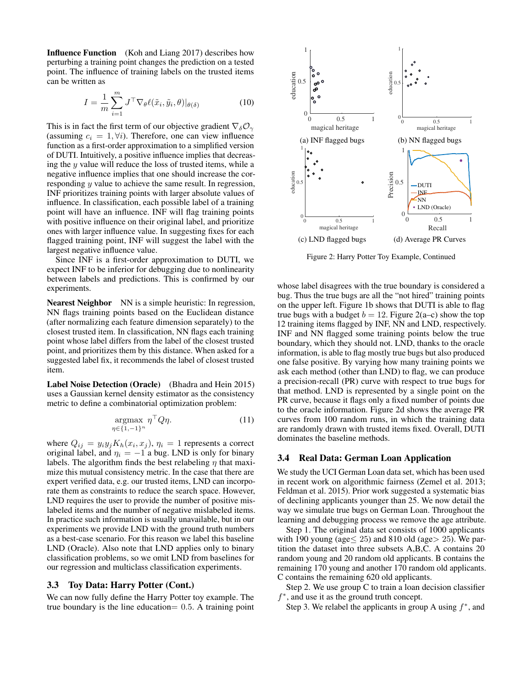Influence Function (Koh and Liang 2017) describes how perturbing a training point changes the prediction on a tested point. The influence of training labels on the trusted items can be written as

$$
I = \frac{1}{m} \sum_{i=1}^{m} J^{\top} \nabla_{\theta} \ell(\tilde{x}_i, \tilde{y}_i, \theta) |_{\theta(\delta)}
$$
(10)

This is in fact the first term of our objective gradient  $\nabla_{\delta}\mathcal{O}_{\gamma}$ (assuming  $c_i = 1, \forall i$ ). Therefore, one can view influence function as a first-order approximation to a simplified version of DUTI. Intuitively, a positive influence implies that decreasing the  $y$  value will reduce the loss of trusted items, while a negative influence implies that one should increase the corresponding y value to achieve the same result. In regression, INF prioritizes training points with larger absolute values of influence. In classification, each possible label of a training point will have an influence. INF will flag training points with positive influence on their original label, and prioritize ones with larger influence value. In suggesting fixes for each flagged training point, INF will suggest the label with the largest negative influence value.

Since INF is a first-order approximation to DUTI, we expect INF to be inferior for debugging due to nonlinearity between labels and predictions. This is confirmed by our experiments.

Nearest Neighbor NN is a simple heuristic: In regression, NN flags training points based on the Euclidean distance (after normalizing each feature dimension separately) to the closest trusted item. In classification, NN flags each training point whose label differs from the label of the closest trusted point, and prioritizes them by this distance. When asked for a suggested label fix, it recommends the label of closest trusted item.

Label Noise Detection (Oracle) (Bhadra and Hein 2015) uses a Gaussian kernel density estimator as the consistency metric to define a combinatorial optimization problem:

$$
\underset{\eta \in \{1,-1\}^n}{\operatorname{argmax}} \ \eta^\top Q \eta. \tag{11}
$$

where  $Q_{ij} = y_i y_j K_h(x_i, x_j)$ ,  $\eta_i = 1$  represents a correct original label, and  $\eta_i = -1$  a bug. LND is only for binary labels. The algorithm finds the best relabeling  $\eta$  that maximize this mutual consistency metric. In the case that there are expert verified data, e.g. our trusted items, LND can incorporate them as constraints to reduce the search space. However, LND requires the user to provide the number of positive mislabeled items and the number of negative mislabeled items. In practice such information is usually unavailable, but in our experiments we provide LND with the ground truth numbers as a best-case scenario. For this reason we label this baseline LND (Oracle). Also note that LND applies only to binary classification problems, so we omit LND from baselines for our regression and multiclass classification experiments.

### 3.3 Toy Data: Harry Potter (Cont.)

We can now fully define the Harry Potter toy example. The true boundary is the line education  $= 0.5$ . A training point



Figure 2: Harry Potter Toy Example, Continued

whose label disagrees with the true boundary is considered a bug. Thus the true bugs are all the "not hired" training points on the upper left. Figure 1b shows that DUTI is able to flag true bugs with a budget  $b = 12$ . Figure 2(a–c) show the top 12 training items flagged by INF, NN and LND, respectively. INF and NN flagged some training points below the true boundary, which they should not. LND, thanks to the oracle information, is able to flag mostly true bugs but also produced one false positive. By varying how many training points we ask each method (other than LND) to flag, we can produce a precision-recall (PR) curve with respect to true bugs for that method. LND is represented by a single point on the PR curve, because it flags only a fixed number of points due to the oracle information. Figure 2d shows the average PR curves from 100 random runs, in which the training data are randomly drawn with trusted items fixed. Overall, DUTI dominates the baseline methods.

### 3.4 Real Data: German Loan Application

We study the UCI German Loan data set, which has been used in recent work on algorithmic fairness (Zemel et al. 2013; Feldman et al. 2015). Prior work suggested a systematic bias of declining applicants younger than 25. We now detail the way we simulate true bugs on German Loan. Throughout the learning and debugging process we remove the age attribute.

Step 1. The original data set consists of 1000 applicants with 190 young (age $\leq$  25) and 810 old (age $>$  25). We partition the dataset into three subsets A,B,C. A contains 20 random young and 20 random old applicants. B contains the remaining 170 young and another 170 random old applicants. C contains the remaining 620 old applicants.

Step 2. We use group C to train a loan decision classifier f ∗ , and use it as the ground truth concept.

Step 3. We relabel the applicants in group A using  $f^*$ , and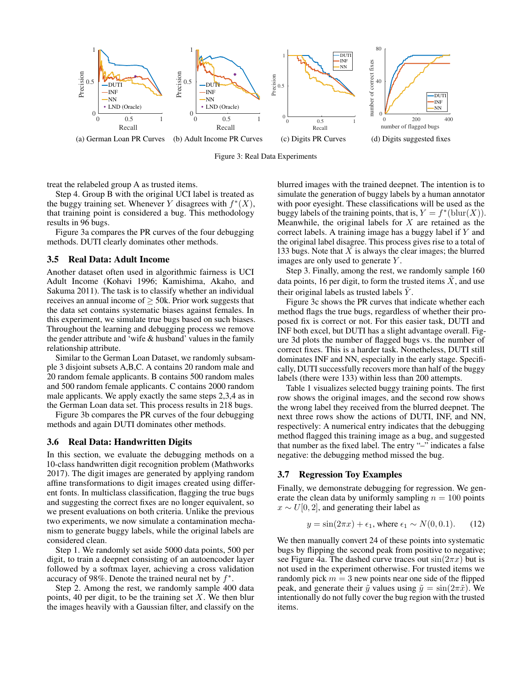

Figure 3: Real Data Experiments

treat the relabeled group A as trusted items.

Step 4. Group B with the original UCI label is treated as the buggy training set. Whenever Y disagrees with  $f^*(X)$ , that training point is considered a bug. This methodology results in 96 bugs.

Figure 3a compares the PR curves of the four debugging methods. DUTI clearly dominates other methods.

#### 3.5 Real Data: Adult Income

Another dataset often used in algorithmic fairness is UCI Adult Income (Kohavi 1996; Kamishima, Akaho, and Sakuma 2011). The task is to classify whether an individual receives an annual income of  $\geq$  50k. Prior work suggests that the data set contains systematic biases against females. In this experiment, we simulate true bugs based on such biases. Throughout the learning and debugging process we remove the gender attribute and 'wife & husband' values in the family relationship attribute.

Similar to the German Loan Dataset, we randomly subsample 3 disjoint subsets A,B,C. A contains 20 random male and 20 random female applicants. B contains 500 random males and 500 random female applicants. C contains 2000 random male applicants. We apply exactly the same steps 2,3,4 as in the German Loan data set. This process results in 218 bugs.

Figure 3b compares the PR curves of the four debugging methods and again DUTI dominates other methods.

### 3.6 Real Data: Handwritten Digits

In this section, we evaluate the debugging methods on a 10-class handwritten digit recognition problem (Mathworks 2017). The digit images are generated by applying random affine transformations to digit images created using different fonts. In multiclass classification, flagging the true bugs and suggesting the correct fixes are no longer equivalent, so we present evaluations on both criteria. Unlike the previous two experiments, we now simulate a contamination mechanism to generate buggy labels, while the original labels are considered clean.

Step 1. We randomly set aside 5000 data points, 500 per digit, to train a deepnet consisting of an autoencoder layer followed by a softmax layer, achieving a cross validation accuracy of 98%. Denote the trained neural net by  $f^*$ .

Step 2. Among the rest, we randomly sample 400 data points, 40 per digit, to be the training set  $X$ . We then blur the images heavily with a Gaussian filter, and classify on the

blurred images with the trained deepnet. The intention is to simulate the generation of buggy labels by a human annotator with poor eyesight. These classifications will be used as the buggy labels of the training points, that is,  $Y = f^*(\text{blur}(X)).$ Meanwhile, the original labels for  $X$  are retained as the correct labels. A training image has a buggy label if Y and the original label disagree. This process gives rise to a total of 133 bugs. Note that  $X$  is always the clear images; the blurred images are only used to generate Y .

Step 3. Finally, among the rest, we randomly sample 160 data points, 16 per digit, to form the trusted items  $\tilde{X}$ , and use their original labels as trusted labels  $Y$ .

Figure 3c shows the PR curves that indicate whether each method flags the true bugs, regardless of whether their proposed fix is correct or not. For this easier task, DUTI and INF both excel, but DUTI has a slight advantage overall. Figure 3d plots the number of flagged bugs vs. the number of correct fixes. This is a harder task. Nonetheless, DUTI still dominates INF and NN, especially in the early stage. Specifically, DUTI successfully recovers more than half of the buggy labels (there were 133) within less than 200 attempts.

Table 1 visualizes selected buggy training points. The first row shows the original images, and the second row shows the wrong label they received from the blurred deepnet. The next three rows show the actions of DUTI, INF, and NN, respectively: A numerical entry indicates that the debugging method flagged this training image as a bug, and suggested that number as the fixed label. The entry "–" indicates a false negative: the debugging method missed the bug.

#### 3.7 Regression Toy Examples

Finally, we demonstrate debugging for regression. We generate the clean data by uniformly sampling  $n = 100$  points  $x \sim U[0, 2]$ , and generating their label as

$$
y = \sin(2\pi x) + \epsilon_1, \text{ where } \epsilon_1 \sim N(0, 0.1). \tag{12}
$$

We then manually convert 24 of these points into systematic bugs by flipping the second peak from positive to negative; see Figure 4a. The dashed curve traces out  $sin(2\pi x)$  but is not used in the experiment otherwise. For trusted items we randomly pick  $m = 3$  new points near one side of the flipped peak, and generate their  $\tilde{y}$  values using  $\tilde{y} = \sin(2\pi \tilde{x})$ . We intentionally do not fully cover the bug region with the trusted items.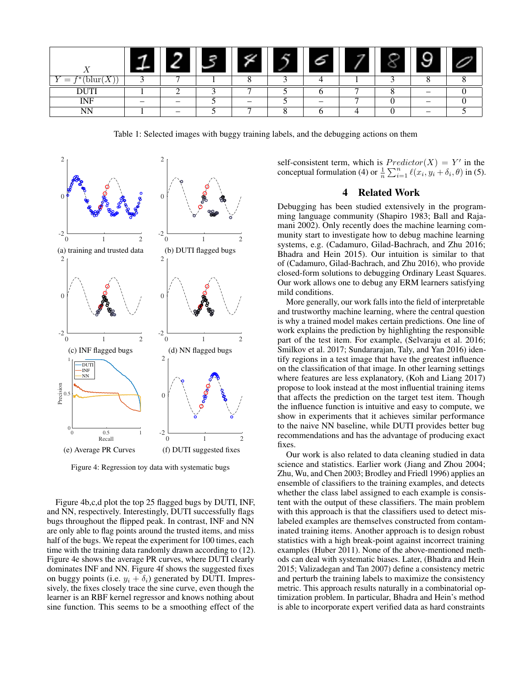| $\mathbf{r}$    |   | F. |                |   |   |                          |  |
|-----------------|---|----|----------------|---|---|--------------------------|--|
| blur<br>=<br>-- | − |    |                |   |   |                          |  |
| <b>DUTI</b>     |   |    | $\overline{ }$ |   | - |                          |  |
| <b>INF</b>      |   |    |                | - | - | $\overline{\phantom{a}}$ |  |
| NN              | - |    | −              |   |   | -                        |  |

Table 1: Selected images with buggy training labels, and the debugging actions on them



Figure 4: Regression toy data with systematic bugs

Figure 4b,c,d plot the top 25 flagged bugs by DUTI, INF, and NN, respectively. Interestingly, DUTI successfully flags bugs throughout the flipped peak. In contrast, INF and NN are only able to flag points around the trusted items, and miss half of the bugs. We repeat the experiment for 100 times, each time with the training data randomly drawn according to (12). Figure 4e shows the average PR curves, where DUTI clearly dominates INF and NN. Figure 4f shows the suggested fixes on buggy points (i.e.  $y_i + \delta_i$ ) generated by DUTI. Impressively, the fixes closely trace the sine curve, even though the learner is an RBF kernel regressor and knows nothing about sine function. This seems to be a smoothing effect of the

self-consistent term, which is  $Predictor(X) = Y'$  in the conceptual formulation (4) or  $\frac{1}{n} \sum_{i=1}^{n} \ell(x_i, y_i + \delta_i, \theta)$  in (5).

# 4 Related Work

Debugging has been studied extensively in the programming language community (Shapiro 1983; Ball and Rajamani 2002). Only recently does the machine learning community start to investigate how to debug machine learning systems, e.g. (Cadamuro, Gilad-Bachrach, and Zhu 2016; Bhadra and Hein 2015). Our intuition is similar to that of (Cadamuro, Gilad-Bachrach, and Zhu 2016), who provide closed-form solutions to debugging Ordinary Least Squares. Our work allows one to debug any ERM learners satisfying mild conditions.

More generally, our work falls into the field of interpretable and trustworthy machine learning, where the central question is why a trained model makes certain predictions. One line of work explains the prediction by highlighting the responsible part of the test item. For example, (Selvaraju et al. 2016; Smilkov et al. 2017; Sundararajan, Taly, and Yan 2016) identify regions in a test image that have the greatest influence on the classification of that image. In other learning settings where features are less explanatory, (Koh and Liang 2017) propose to look instead at the most influential training items that affects the prediction on the target test item. Though the influence function is intuitive and easy to compute, we show in experiments that it achieves similar performance to the naive NN baseline, while DUTI provides better bug recommendations and has the advantage of producing exact fixes.

Our work is also related to data cleaning studied in data science and statistics. Earlier work (Jiang and Zhou 2004; Zhu, Wu, and Chen 2003; Brodley and Friedl 1996) applies an ensemble of classifiers to the training examples, and detects whether the class label assigned to each example is consistent with the output of these classifiers. The main problem with this approach is that the classifiers used to detect mislabeled examples are themselves constructed from contaminated training items. Another approach is to design robust statistics with a high break-point against incorrect training examples (Huber 2011). None of the above-mentioned methods can deal with systematic biases. Later, (Bhadra and Hein 2015; Valizadegan and Tan 2007) define a consistency metric and perturb the training labels to maximize the consistency metric. This approach results naturally in a combinatorial optimization problem. In particular, Bhadra and Hein's method is able to incorporate expert verified data as hard constraints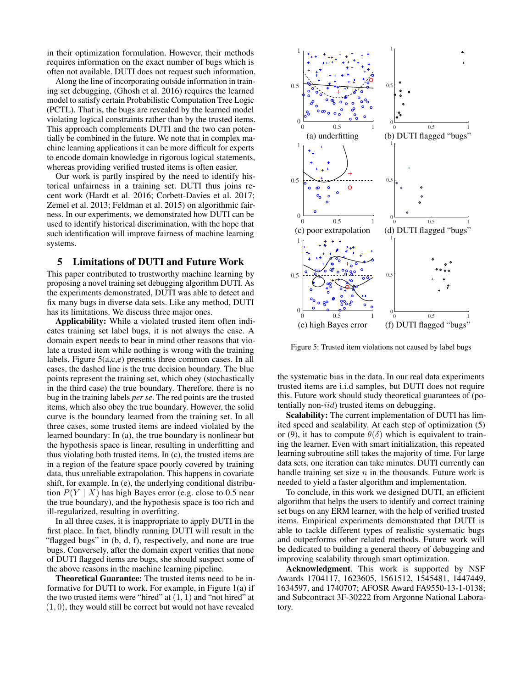in their optimization formulation. However, their methods requires information on the exact number of bugs which is often not available. DUTI does not request such information.

Along the line of incorporating outside information in training set debugging, (Ghosh et al. 2016) requires the learned model to satisfy certain Probabilistic Computation Tree Logic (PCTL). That is, the bugs are revealed by the learned model violating logical constraints rather than by the trusted items. This approach complements DUTI and the two can potentially be combined in the future. We note that in complex machine learning applications it can be more difficult for experts to encode domain knowledge in rigorous logical statements, whereas providing verified trusted items is often easier.

Our work is partly inspired by the need to identify historical unfairness in a training set. DUTI thus joins recent work (Hardt et al. 2016; Corbett-Davies et al. 2017; Zemel et al. 2013; Feldman et al. 2015) on algorithmic fairness. In our experiments, we demonstrated how DUTI can be used to identify historical discrimination, with the hope that such identification will improve fairness of machine learning systems.

# 5 Limitations of DUTI and Future Work

This paper contributed to trustworthy machine learning by proposing a novel training set debugging algorithm DUTI. As the experiments demonstrated, DUTI was able to detect and fix many bugs in diverse data sets. Like any method, DUTI has its limitations. We discuss three major ones.

Applicability: While a violated trusted item often indicates training set label bugs, it is not always the case. A domain expert needs to bear in mind other reasons that violate a trusted item while nothing is wrong with the training labels. Figure 5(a,c,e) presents three common cases. In all cases, the dashed line is the true decision boundary. The blue points represent the training set, which obey (stochastically in the third case) the true boundary. Therefore, there is no bug in the training labels *per se*. The red points are the trusted items, which also obey the true boundary. However, the solid curve is the boundary learned from the training set. In all three cases, some trusted items are indeed violated by the learned boundary: In (a), the true boundary is nonlinear but the hypothesis space is linear, resulting in underfitting and thus violating both trusted items. In (c), the trusted items are in a region of the feature space poorly covered by training data, thus unreliable extrapolation. This happens in covariate shift, for example. In (e), the underlying conditional distribution  $P(Y | X)$  has high Bayes error (e.g. close to 0.5 near the true boundary), and the hypothesis space is too rich and ill-regularized, resulting in overfitting.

In all three cases, it is inappropriate to apply DUTI in the first place. In fact, blindly running DUTI will result in the "flagged bugs" in (b, d, f), respectively, and none are true bugs. Conversely, after the domain expert verifies that none of DUTI flagged items are bugs, she should suspect some of the above reasons in the machine learning pipeline.

Theoretical Guarantee: The trusted items need to be informative for DUTI to work. For example, in Figure 1(a) if the two trusted items were "hired" at  $(1, 1)$  and "not hired" at  $(1, 0)$ , they would still be correct but would not have revealed



Figure 5: Trusted item violations not caused by label bugs

the systematic bias in the data. In our real data experiments trusted items are i.i.d samples, but DUTI does not require this. Future work should study theoretical guarantees of (potentially non- $iid$ ) trusted items on debugging.

Scalability: The current implementation of DUTI has limited speed and scalability. At each step of optimization (5) or (9), it has to compute  $\theta(\delta)$  which is equivalent to training the learner. Even with smart initialization, this repeated learning subroutine still takes the majority of time. For large data sets, one iteration can take minutes. DUTI currently can handle training set size  $n$  in the thousands. Future work is needed to yield a faster algorithm and implementation.

To conclude, in this work we designed DUTI, an efficient algorithm that helps the users to identify and correct training set bugs on any ERM learner, with the help of verified trusted items. Empirical experiments demonstrated that DUTI is able to tackle different types of realistic systematic bugs and outperforms other related methods. Future work will be dedicated to building a general theory of debugging and improving scalability through smart optimization.

Acknowledgment. This work is supported by NSF Awards 1704117, 1623605, 1561512, 1545481, 1447449, 1634597, and 1740707; AFOSR Award FA9550-13-1-0138; and Subcontract 3F-30222 from Argonne National Laboratory.